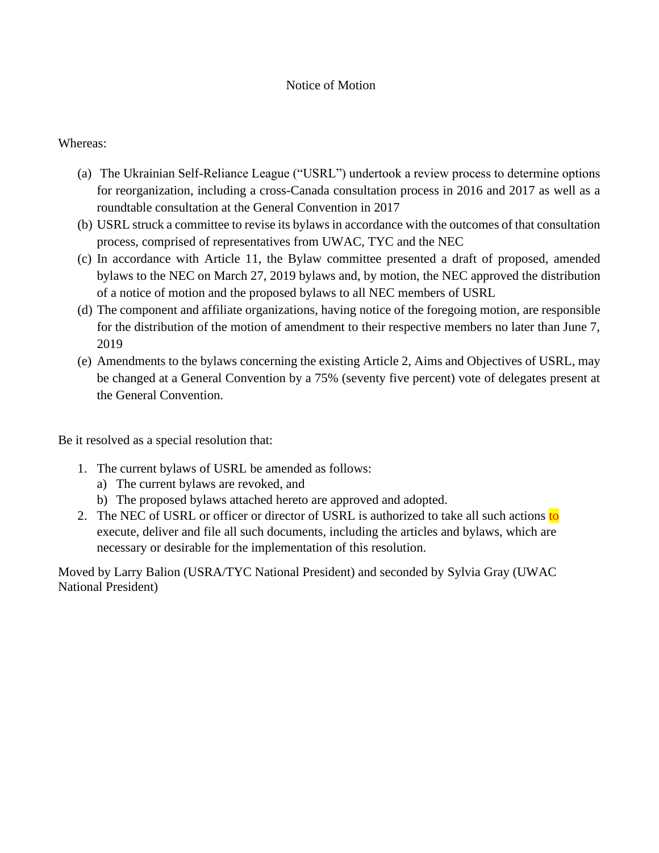#### Notice of Motion

#### Whereas:

- (a) The Ukrainian Self-Reliance League ("USRL") undertook a review process to determine options for reorganization, including a cross-Canada consultation process in 2016 and 2017 as well as a roundtable consultation at the General Convention in 2017
- (b) USRL struck a committee to revise its bylaws in accordance with the outcomes of that consultation process, comprised of representatives from UWAC, TYC and the NEC
- (c) In accordance with Article 11, the Bylaw committee presented a draft of proposed, amended bylaws to the NEC on March 27, 2019 bylaws and, by motion, the NEC approved the distribution of a notice of motion and the proposed bylaws to all NEC members of USRL
- (d) The component and affiliate organizations, having notice of the foregoing motion, are responsible for the distribution of the motion of amendment to their respective members no later than June 7, 2019
- (e) Amendments to the bylaws concerning the existing Article 2, Aims and Objectives of USRL, may be changed at a General Convention by a 75% (seventy five percent) vote of delegates present at the General Convention.

Be it resolved as a special resolution that:

- 1. The current bylaws of USRL be amended as follows:
	- a) The current bylaws are revoked, and
	- b) The proposed bylaws attached hereto are approved and adopted.
- 2. The NEC of USRL or officer or director of USRL is authorized to take all such actions to execute, deliver and file all such documents, including the articles and bylaws, which are necessary or desirable for the implementation of this resolution.

Moved by Larry Balion (USRA/TYC National President) and seconded by Sylvia Gray (UWAC National President)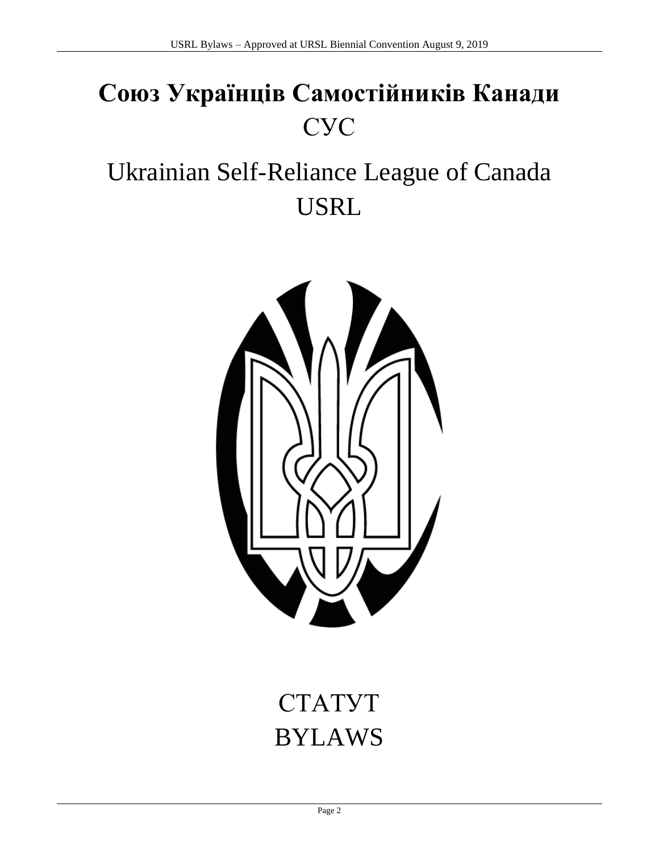# **Союз Українців Самостійників Канади** СУС

# Ukrainian Self-Reliance League of Canada USRL



# СТАТУТ BYLAWS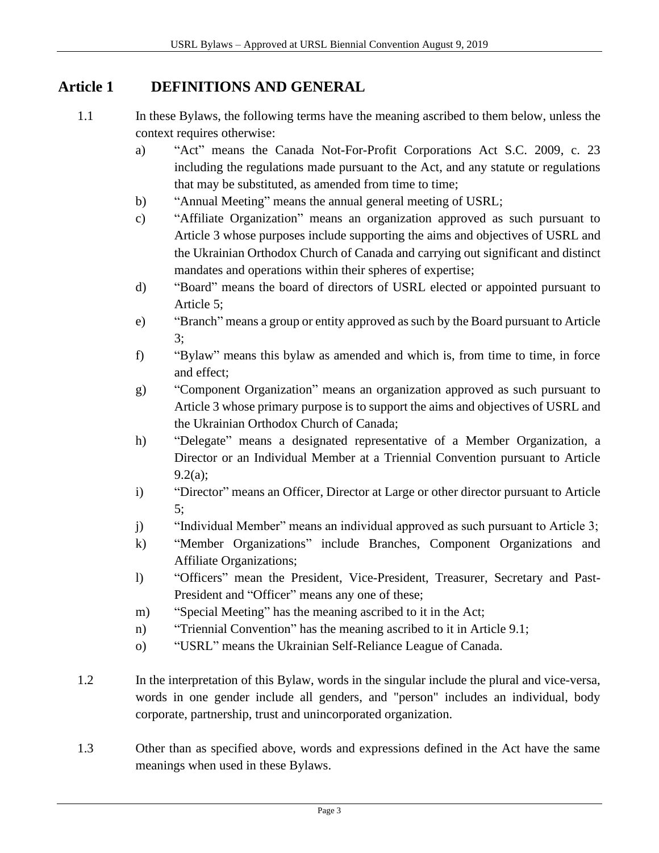#### **Article 1 DEFINITIONS AND GENERAL**

- 1.1 In these Bylaws, the following terms have the meaning ascribed to them below, unless the context requires otherwise:
	- a) "Act" means the Canada Not-For-Profit Corporations Act S.C. 2009, c. 23 including the regulations made pursuant to the Act, and any statute or regulations that may be substituted, as amended from time to time;
	- b) "Annual Meeting" means the annual general meeting of USRL;
	- c) "Affiliate Organization" means an organization approved as such pursuant to Article 3 whose purposes include supporting the aims and objectives of USRL and the Ukrainian Orthodox Church of Canada and carrying out significant and distinct mandates and operations within their spheres of expertise;
	- d) "Board" means the board of directors of USRL elected or appointed pursuant to Article 5;
	- e) "Branch" means a group or entity approved as such by the Board pursuant to Article 3;
	- f) "Bylaw" means this bylaw as amended and which is, from time to time, in force and effect;
	- g) "Component Organization" means an organization approved as such pursuant to Article 3 whose primary purpose is to support the aims and objectives of USRL and the Ukrainian Orthodox Church of Canada;
	- h) "Delegate" means a designated representative of a Member Organization, a Director or an Individual Member at a Triennial Convention pursuant to Article 9.2(a);
	- i) "Director" means an Officer, Director at Large or other director pursuant to Article 5;
	- j) "Individual Member" means an individual approved as such pursuant to Article 3;
	- k) "Member Organizations" include Branches, Component Organizations and Affiliate Organizations;
	- l) "Officers" mean the President, Vice-President, Treasurer, Secretary and Past-President and "Officer" means any one of these;
	- m) "Special Meeting" has the meaning ascribed to it in the Act;
	- n) "Triennial Convention" has the meaning ascribed to it in Article 9.1;
	- o) "USRL" means the Ukrainian Self-Reliance League of Canada.
- 1.2 In the interpretation of this Bylaw, words in the singular include the plural and vice-versa, words in one gender include all genders, and "person" includes an individual, body corporate, partnership, trust and unincorporated organization.
- 1.3 Other than as specified above, words and expressions defined in the Act have the same meanings when used in these Bylaws.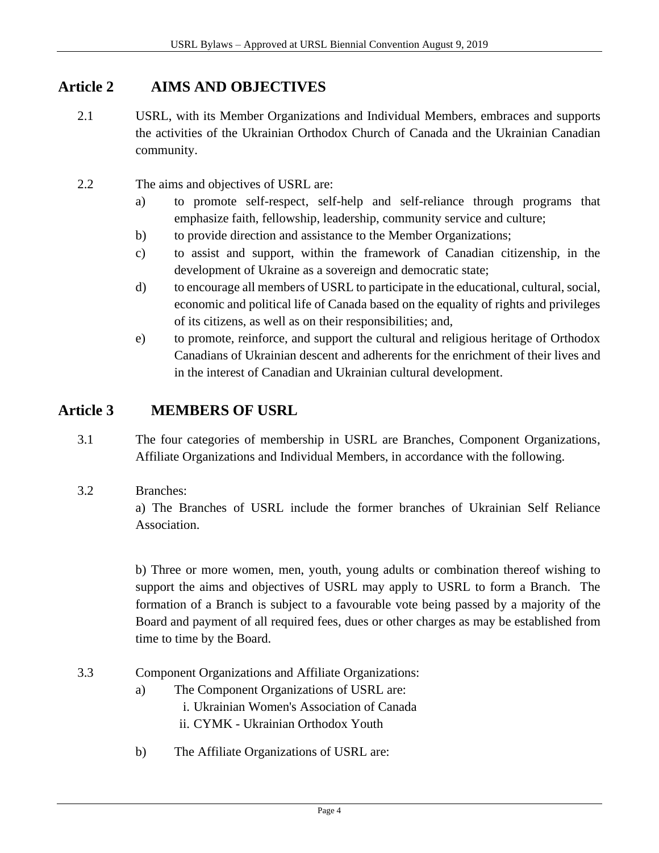### **Article 2 AIMS AND OBJECTIVES**

- 2.1 USRL, with its Member Organizations and Individual Members, embraces and supports the activities of the Ukrainian Orthodox Church of Canada and the Ukrainian Canadian community.
- 2.2 The aims and objectives of USRL are:
	- a) to promote self-respect, self-help and self-reliance through programs that emphasize faith, fellowship, leadership, community service and culture;
	- b) to provide direction and assistance to the Member Organizations;
	- c) to assist and support, within the framework of Canadian citizenship, in the development of Ukraine as a sovereign and democratic state;
	- d) to encourage all members of USRL to participate in the educational, cultural, social, economic and political life of Canada based on the equality of rights and privileges of its citizens, as well as on their responsibilities; and,
	- e) to promote, reinforce, and support the cultural and religious heritage of Orthodox Canadians of Ukrainian descent and adherents for the enrichment of their lives and in the interest of Canadian and Ukrainian cultural development.

#### **Article 3 MEMBERS OF USRL**

- 3.1 The four categories of membership in USRL are Branches, Component Organizations, Affiliate Organizations and Individual Members, in accordance with the following.
- 3.2 Branches:

a) The Branches of USRL include the former branches of Ukrainian Self Reliance Association.

b) Three or more women, men, youth, young adults or combination thereof wishing to support the aims and objectives of USRL may apply to USRL to form a Branch. The formation of a Branch is subject to a favourable vote being passed by a majority of the Board and payment of all required fees, dues or other charges as may be established from time to time by the Board.

- 3.3 Component Organizations and Affiliate Organizations:
	- a) The Component Organizations of USRL are:
		- i. Ukrainian Women's Association of Canada ii. CYMK - Ukrainian Orthodox Youth
	- b) The Affiliate Organizations of USRL are: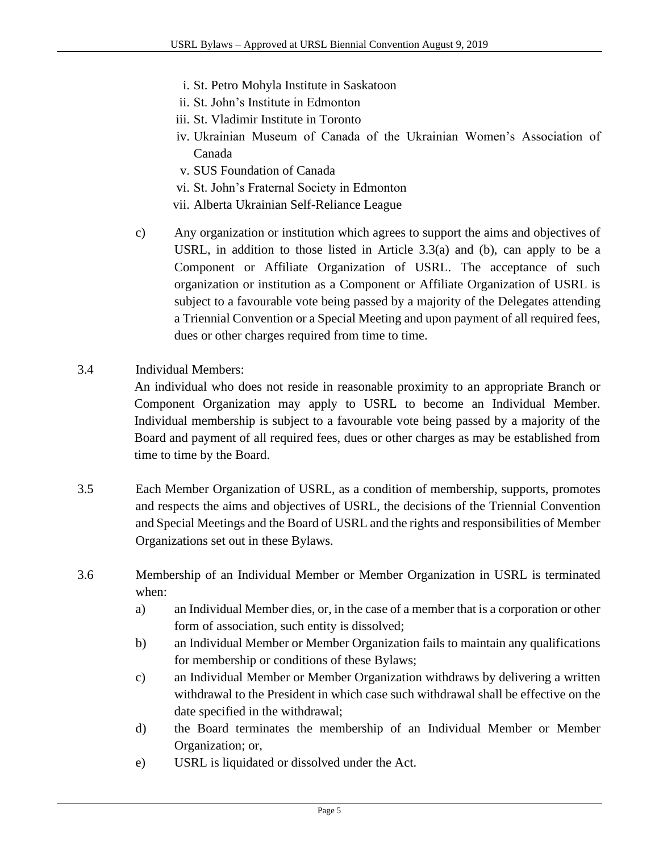- i. St. Petro Mohyla Institute in Saskatoon
- ii. St. John's Institute in Edmonton
- iii. St. Vladimir Institute in Toronto
- iv. Ukrainian Museum of Canada of the Ukrainian Women's Association of Canada
- v. SUS Foundation of Canada
- vi. St. John's Fraternal Society in Edmonton
- vii. Alberta Ukrainian Self-Reliance League
- c) Any organization or institution which agrees to support the aims and objectives of USRL, in addition to those listed in Article 3.3(a) and (b), can apply to be a Component or Affiliate Organization of USRL. The acceptance of such organization or institution as a Component or Affiliate Organization of USRL is subject to a favourable vote being passed by a majority of the Delegates attending a Triennial Convention or a Special Meeting and upon payment of all required fees, dues or other charges required from time to time.
- 3.4 Individual Members:

An individual who does not reside in reasonable proximity to an appropriate Branch or Component Organization may apply to USRL to become an Individual Member. Individual membership is subject to a favourable vote being passed by a majority of the Board and payment of all required fees, dues or other charges as may be established from time to time by the Board.

- 3.5 Each Member Organization of USRL, as a condition of membership, supports, promotes and respects the aims and objectives of USRL, the decisions of the Triennial Convention and Special Meetings and the Board of USRL and the rights and responsibilities of Member Organizations set out in these Bylaws.
- 3.6 Membership of an Individual Member or Member Organization in USRL is terminated when:
	- a) an Individual Member dies, or, in the case of a member that is a corporation or other form of association, such entity is dissolved;
	- b) an Individual Member or Member Organization fails to maintain any qualifications for membership or conditions of these Bylaws;
	- c) an Individual Member or Member Organization withdraws by delivering a written withdrawal to the President in which case such withdrawal shall be effective on the date specified in the withdrawal;
	- d) the Board terminates the membership of an Individual Member or Member Organization; or,
	- e) USRL is liquidated or dissolved under the Act.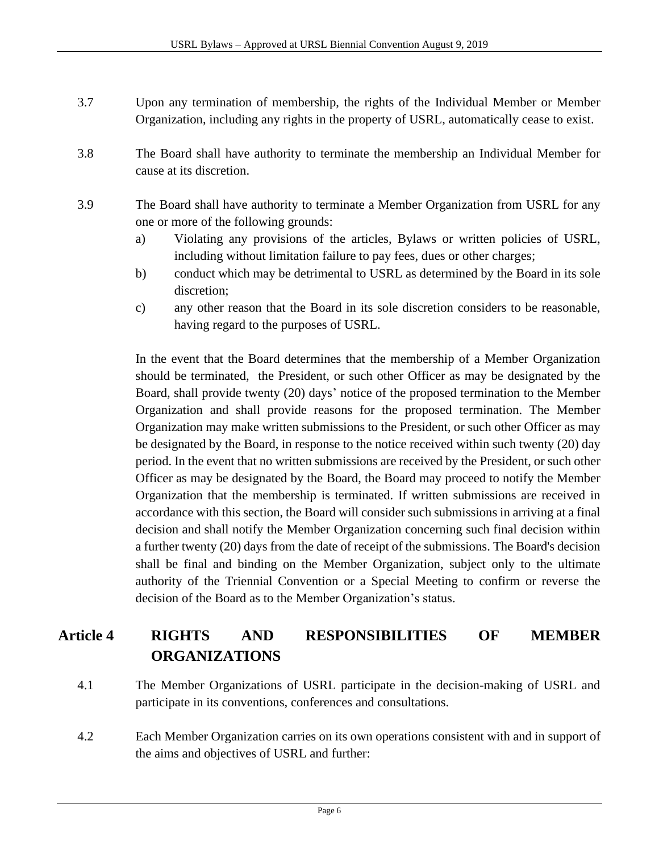- 3.7 Upon any termination of membership, the rights of the Individual Member or Member Organization, including any rights in the property of USRL, automatically cease to exist.
- 3.8 The Board shall have authority to terminate the membership an Individual Member for cause at its discretion.
- 3.9 The Board shall have authority to terminate a Member Organization from USRL for any one or more of the following grounds:
	- a) Violating any provisions of the articles, Bylaws or written policies of USRL, including without limitation failure to pay fees, dues or other charges;
	- b) conduct which may be detrimental to USRL as determined by the Board in its sole discretion;
	- c) any other reason that the Board in its sole discretion considers to be reasonable, having regard to the purposes of USRL.

In the event that the Board determines that the membership of a Member Organization should be terminated, the President, or such other Officer as may be designated by the Board, shall provide twenty (20) days' notice of the proposed termination to the Member Organization and shall provide reasons for the proposed termination. The Member Organization may make written submissions to the President, or such other Officer as may be designated by the Board, in response to the notice received within such twenty (20) day period. In the event that no written submissions are received by the President, or such other Officer as may be designated by the Board, the Board may proceed to notify the Member Organization that the membership is terminated. If written submissions are received in accordance with this section, the Board will consider such submissions in arriving at a final decision and shall notify the Member Organization concerning such final decision within a further twenty (20) days from the date of receipt of the submissions. The Board's decision shall be final and binding on the Member Organization, subject only to the ultimate authority of the Triennial Convention or a Special Meeting to confirm or reverse the decision of the Board as to the Member Organization's status.

## **Article 4 RIGHTS AND RESPONSIBILITIES OF MEMBER ORGANIZATIONS**

- 4.1 The Member Organizations of USRL participate in the decision-making of USRL and participate in its conventions, conferences and consultations.
- 4.2 Each Member Organization carries on its own operations consistent with and in support of the aims and objectives of USRL and further: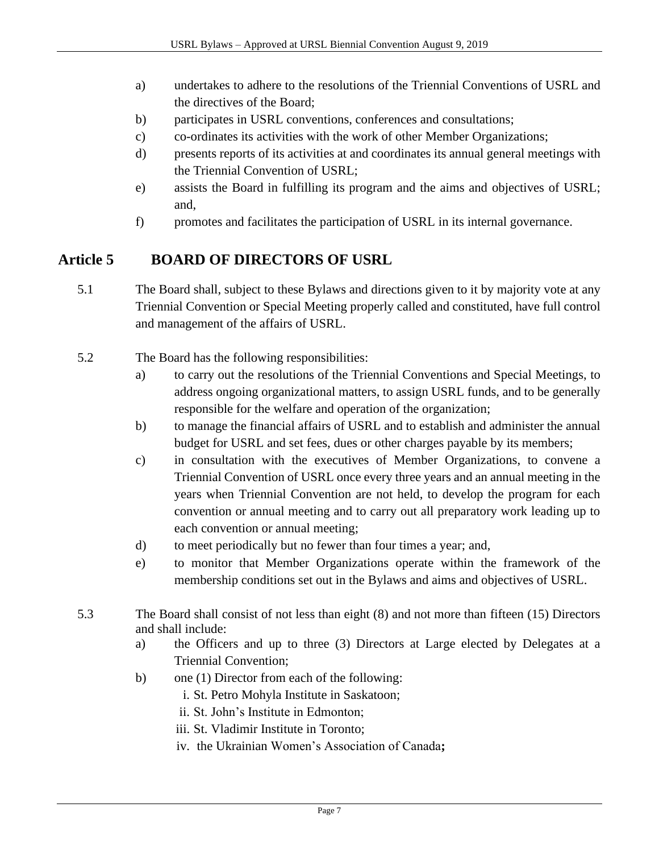- a) undertakes to adhere to the resolutions of the Triennial Conventions of USRL and the directives of the Board;
- b) participates in USRL conventions, conferences and consultations;
- c) co-ordinates its activities with the work of other Member Organizations;
- d) presents reports of its activities at and coordinates its annual general meetings with the Triennial Convention of USRL;
- e) assists the Board in fulfilling its program and the aims and objectives of USRL; and,
- f) promotes and facilitates the participation of USRL in its internal governance.

## **Article 5 BOARD OF DIRECTORS OF USRL**

- 5.1 The Board shall, subject to these Bylaws and directions given to it by majority vote at any Triennial Convention or Special Meeting properly called and constituted, have full control and management of the affairs of USRL.
- 5.2 The Board has the following responsibilities:
	- a) to carry out the resolutions of the Triennial Conventions and Special Meetings, to address ongoing organizational matters, to assign USRL funds, and to be generally responsible for the welfare and operation of the organization;
	- b) to manage the financial affairs of USRL and to establish and administer the annual budget for USRL and set fees, dues or other charges payable by its members;
	- c) in consultation with the executives of Member Organizations, to convene a Triennial Convention of USRL once every three years and an annual meeting in the years when Triennial Convention are not held, to develop the program for each convention or annual meeting and to carry out all preparatory work leading up to each convention or annual meeting;
	- d) to meet periodically but no fewer than four times a year; and,
	- e) to monitor that Member Organizations operate within the framework of the membership conditions set out in the Bylaws and aims and objectives of USRL.
- 5.3 The Board shall consist of not less than eight (8) and not more than fifteen (15) Directors and shall include:
	- a) the Officers and up to three (3) Directors at Large elected by Delegates at a Triennial Convention;
	- b) one (1) Director from each of the following:
		- i. St. Petro Mohyla Institute in Saskatoon;
		- ii. St. John's Institute in Edmonton;
		- iii. St. Vladimir Institute in Toronto;
		- iv. the Ukrainian Women's Association of Canada**;**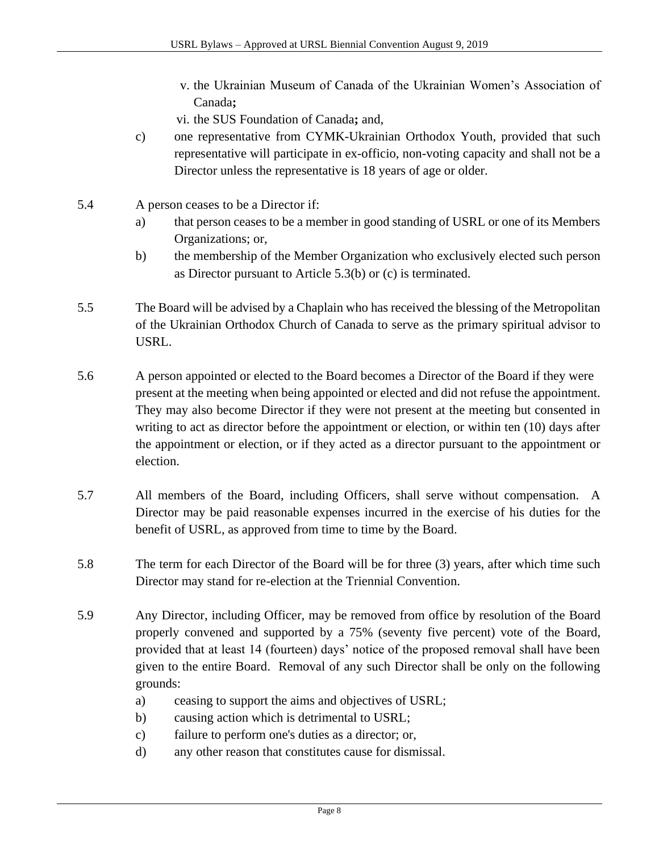- v. the Ukrainian Museum of Canada of the Ukrainian Women's Association of Canada**;**
- vi. the SUS Foundation of Canada**;** and,
- c) one representative from CYMK-Ukrainian Orthodox Youth, provided that such representative will participate in ex-officio, non-voting capacity and shall not be a Director unless the representative is 18 years of age or older.
- 5.4 A person ceases to be a Director if:
	- a) that person ceases to be a member in good standing of USRL or one of its Members Organizations; or,
	- b) the membership of the Member Organization who exclusively elected such person as Director pursuant to Article 5.3(b) or (c) is terminated.
- 5.5 The Board will be advised by a Chaplain who has received the blessing of the Metropolitan of the Ukrainian Orthodox Church of Canada to serve as the primary spiritual advisor to USRL.
- 5.6 A person appointed or elected to the Board becomes a Director of the Board if they were present at the meeting when being appointed or elected and did not refuse the appointment. They may also become Director if they were not present at the meeting but consented in writing to act as director before the appointment or election, or within ten (10) days after the appointment or election, or if they acted as a director pursuant to the appointment or election.
- 5.7 All members of the Board, including Officers, shall serve without compensation. A Director may be paid reasonable expenses incurred in the exercise of his duties for the benefit of USRL, as approved from time to time by the Board.
- 5.8 The term for each Director of the Board will be for three (3) years, after which time such Director may stand for re-election at the Triennial Convention.
- 5.9 Any Director, including Officer, may be removed from office by resolution of the Board properly convened and supported by a 75% (seventy five percent) vote of the Board, provided that at least 14 (fourteen) days' notice of the proposed removal shall have been given to the entire Board. Removal of any such Director shall be only on the following grounds:
	- a) ceasing to support the aims and objectives of USRL;
	- b) causing action which is detrimental to USRL;
	- c) failure to perform one's duties as a director; or,
	- d) any other reason that constitutes cause for dismissal.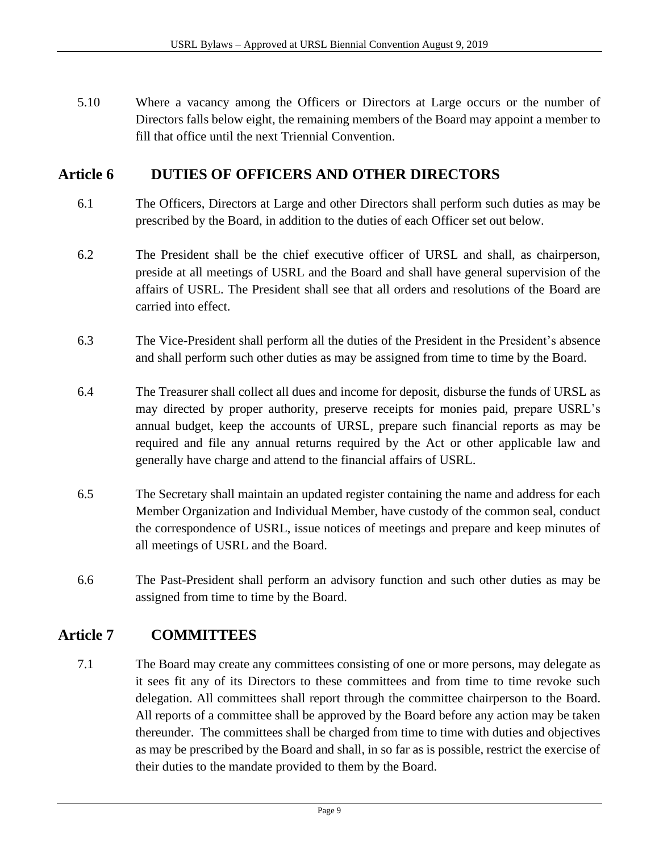5.10 Where a vacancy among the Officers or Directors at Large occurs or the number of Directors falls below eight, the remaining members of the Board may appoint a member to fill that office until the next Triennial Convention.

#### **Article 6 DUTIES OF OFFICERS AND OTHER DIRECTORS**

- 6.1 The Officers, Directors at Large and other Directors shall perform such duties as may be prescribed by the Board, in addition to the duties of each Officer set out below.
- 6.2 The President shall be the chief executive officer of URSL and shall, as chairperson, preside at all meetings of USRL and the Board and shall have general supervision of the affairs of USRL. The President shall see that all orders and resolutions of the Board are carried into effect.
- 6.3 The Vice-President shall perform all the duties of the President in the President's absence and shall perform such other duties as may be assigned from time to time by the Board.
- 6.4 The Treasurer shall collect all dues and income for deposit, disburse the funds of URSL as may directed by proper authority, preserve receipts for monies paid, prepare USRL's annual budget, keep the accounts of URSL, prepare such financial reports as may be required and file any annual returns required by the Act or other applicable law and generally have charge and attend to the financial affairs of USRL.
- 6.5 The Secretary shall maintain an updated register containing the name and address for each Member Organization and Individual Member, have custody of the common seal, conduct the correspondence of USRL, issue notices of meetings and prepare and keep minutes of all meetings of USRL and the Board.
- 6.6 The Past-President shall perform an advisory function and such other duties as may be assigned from time to time by the Board.

### **Article 7 COMMITTEES**

7.1 The Board may create any committees consisting of one or more persons, may delegate as it sees fit any of its Directors to these committees and from time to time revoke such delegation. All committees shall report through the committee chairperson to the Board. All reports of a committee shall be approved by the Board before any action may be taken thereunder. The committees shall be charged from time to time with duties and objectives as may be prescribed by the Board and shall, in so far as is possible, restrict the exercise of their duties to the mandate provided to them by the Board.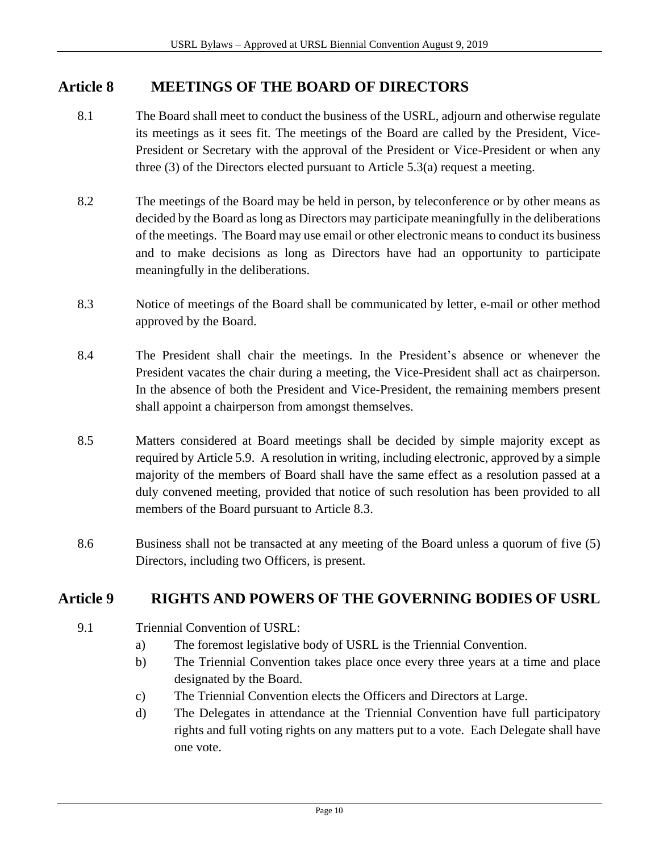#### **Article 8 MEETINGS OF THE BOARD OF DIRECTORS**

- 8.1 The Board shall meet to conduct the business of the USRL, adjourn and otherwise regulate its meetings as it sees fit. The meetings of the Board are called by the President, Vice-President or Secretary with the approval of the President or Vice-President or when any three (3) of the Directors elected pursuant to Article 5.3(a) request a meeting.
- 8.2 The meetings of the Board may be held in person, by teleconference or by other means as decided by the Board as long as Directors may participate meaningfully in the deliberations of the meetings. The Board may use email or other electronic means to conduct its business and to make decisions as long as Directors have had an opportunity to participate meaningfully in the deliberations.
- 8.3 Notice of meetings of the Board shall be communicated by letter, e-mail or other method approved by the Board.
- 8.4 The President shall chair the meetings. In the President's absence or whenever the President vacates the chair during a meeting, the Vice-President shall act as chairperson. In the absence of both the President and Vice-President, the remaining members present shall appoint a chairperson from amongst themselves.
- 8.5 Matters considered at Board meetings shall be decided by simple majority except as required by Article 5.9. A resolution in writing, including electronic, approved by a simple majority of the members of Board shall have the same effect as a resolution passed at a duly convened meeting, provided that notice of such resolution has been provided to all members of the Board pursuant to Article 8.3.
- 8.6 Business shall not be transacted at any meeting of the Board unless a quorum of five (5) Directors, including two Officers, is present.

#### **Article 9 RIGHTS AND POWERS OF THE GOVERNING BODIES OF USRL**

- 9.1 Triennial Convention of USRL:
	- a) The foremost legislative body of USRL is the Triennial Convention.
	- b) The Triennial Convention takes place once every three years at a time and place designated by the Board.
	- c) The Triennial Convention elects the Officers and Directors at Large.
	- d) The Delegates in attendance at the Triennial Convention have full participatory rights and full voting rights on any matters put to a vote. Each Delegate shall have one vote.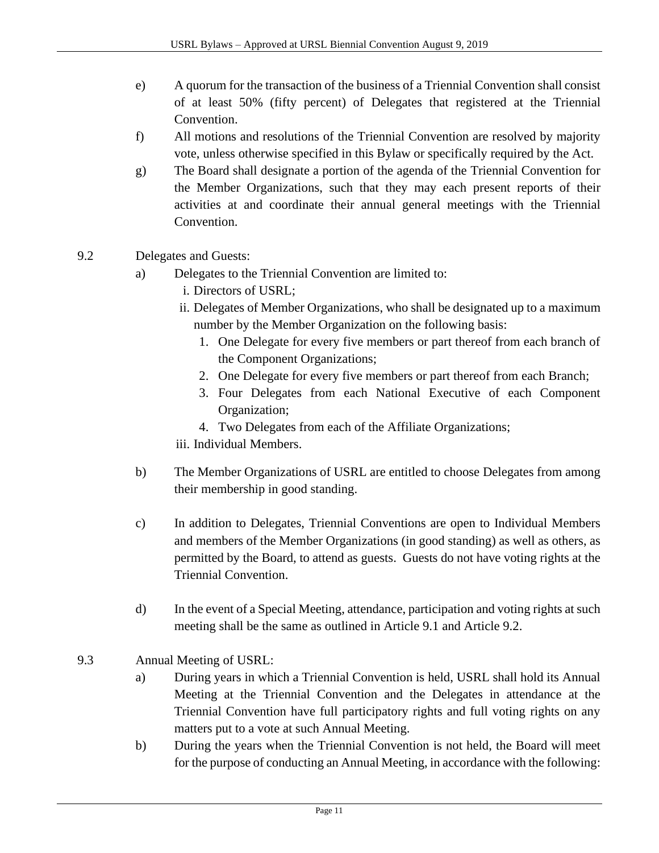- e) A quorum for the transaction of the business of a Triennial Convention shall consist of at least 50% (fifty percent) of Delegates that registered at the Triennial Convention.
- f) All motions and resolutions of the Triennial Convention are resolved by majority vote, unless otherwise specified in this Bylaw or specifically required by the Act.
- g) The Board shall designate a portion of the agenda of the Triennial Convention for the Member Organizations, such that they may each present reports of their activities at and coordinate their annual general meetings with the Triennial Convention.

#### 9.2 Delegates and Guests:

- a) Delegates to the Triennial Convention are limited to:
	- i. Directors of USRL;
	- ii. Delegates of Member Organizations, who shall be designated up to a maximum number by the Member Organization on the following basis:
		- 1. One Delegate for every five members or part thereof from each branch of the Component Organizations;
		- 2. One Delegate for every five members or part thereof from each Branch;
		- 3. Four Delegates from each National Executive of each Component Organization;
		- 4. Two Delegates from each of the Affiliate Organizations;
	- iii. Individual Members.
- b) The Member Organizations of USRL are entitled to choose Delegates from among their membership in good standing.
- c) In addition to Delegates, Triennial Conventions are open to Individual Members and members of the Member Organizations (in good standing) as well as others, as permitted by the Board, to attend as guests. Guests do not have voting rights at the Triennial Convention.
- d) In the event of a Special Meeting, attendance, participation and voting rights at such meeting shall be the same as outlined in Article 9.1 and Article 9.2.
- 9.3 Annual Meeting of USRL:
	- a) During years in which a Triennial Convention is held, USRL shall hold its Annual Meeting at the Triennial Convention and the Delegates in attendance at the Triennial Convention have full participatory rights and full voting rights on any matters put to a vote at such Annual Meeting.
	- b) During the years when the Triennial Convention is not held, the Board will meet for the purpose of conducting an Annual Meeting, in accordance with the following: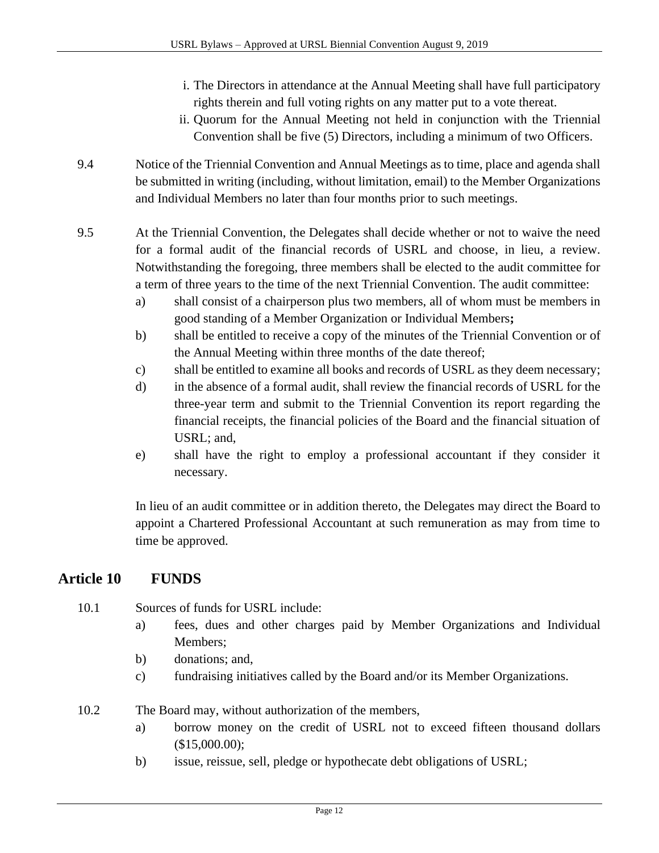- i. The Directors in attendance at the Annual Meeting shall have full participatory rights therein and full voting rights on any matter put to a vote thereat.
- ii. Quorum for the Annual Meeting not held in conjunction with the Triennial Convention shall be five (5) Directors, including a minimum of two Officers.
- 9.4 Notice of the Triennial Convention and Annual Meetings as to time, place and agenda shall be submitted in writing (including, without limitation, email) to the Member Organizations and Individual Members no later than four months prior to such meetings.
- 9.5 At the Triennial Convention, the Delegates shall decide whether or not to waive the need for a formal audit of the financial records of USRL and choose, in lieu, a review. Notwithstanding the foregoing, three members shall be elected to the audit committee for a term of three years to the time of the next Triennial Convention. The audit committee:
	- a) shall consist of a chairperson plus two members, all of whom must be members in good standing of a Member Organization or Individual Members**;**
	- b) shall be entitled to receive a copy of the minutes of the Triennial Convention or of the Annual Meeting within three months of the date thereof;
	- c) shall be entitled to examine all books and records of USRL as they deem necessary;
	- d) in the absence of a formal audit, shall review the financial records of USRL for the three-year term and submit to the Triennial Convention its report regarding the financial receipts, the financial policies of the Board and the financial situation of USRL; and,
	- e) shall have the right to employ a professional accountant if they consider it necessary.

In lieu of an audit committee or in addition thereto, the Delegates may direct the Board to appoint a Chartered Professional Accountant at such remuneration as may from time to time be approved.

### **Article 10 FUNDS**

- 10.1 Sources of funds for USRL include:
	- a) fees, dues and other charges paid by Member Organizations and Individual Members;
	- b) donations; and,
	- c) fundraising initiatives called by the Board and/or its Member Organizations.
- 10.2 The Board may, without authorization of the members,
	- a) borrow money on the credit of USRL not to exceed fifteen thousand dollars (\$15,000.00);
	- b) issue, reissue, sell, pledge or hypothecate debt obligations of USRL;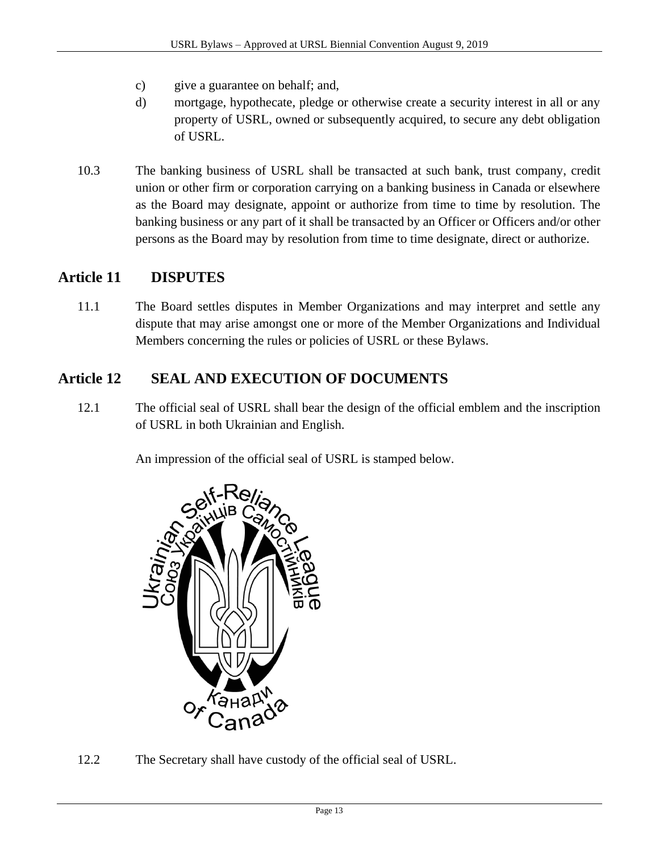- c) give a guarantee on behalf; and,
- d) mortgage, hypothecate, pledge or otherwise create a security interest in all or any property of USRL, owned or subsequently acquired, to secure any debt obligation of USRL.
- 10.3 The banking business of USRL shall be transacted at such bank, trust company, credit union or other firm or corporation carrying on a banking business in Canada or elsewhere as the Board may designate, appoint or authorize from time to time by resolution. The banking business or any part of it shall be transacted by an Officer or Officers and/or other persons as the Board may by resolution from time to time designate, direct or authorize.

#### **Article 11 DISPUTES**

11.1 The Board settles disputes in Member Organizations and may interpret and settle any dispute that may arise amongst one or more of the Member Organizations and Individual Members concerning the rules or policies of USRL or these Bylaws.

### **Article 12 SEAL AND EXECUTION OF DOCUMENTS**

12.1 The official seal of USRL shall bear the design of the official emblem and the inscription of USRL in both Ukrainian and English.

An impression of the official seal of USRL is stamped below.



12.2 The Secretary shall have custody of the official seal of USRL.